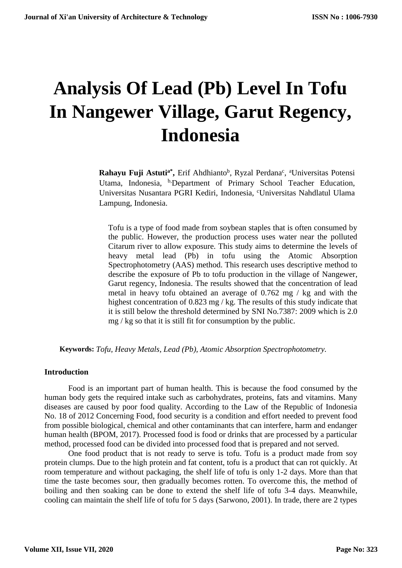# **Analysis Of Lead (Pb) Level In Tofu In Nangewer Village, Garut Regency, Indonesia**

Rahayu Fuji Astuti<sup>a\*</sup>, Erif Ahdhianto<sup>b</sup>, Ryzal Perdana<sup>c</sup>, <sup>a</sup>Universitas Potensi Utama, Indonesia, <sup>b</sup>,Department of Primary School Teacher Education, Universitas Nusantara PGRI Kediri, Indonesia, <sup>c</sup>Universitas Nahdlatul Ulama Lampung, Indonesia.

Tofu is a type of food made from soybean staples that is often consumed by the public. However, the production process uses water near the polluted Citarum river to allow exposure. This study aims to determine the levels of heavy metal lead (Pb) in tofu using the Atomic Absorption Spectrophotometry (AAS) method. This research uses descriptive method to describe the exposure of Pb to tofu production in the village of Nangewer, Garut regency, Indonesia. The results showed that the concentration of lead metal in heavy tofu obtained an average of 0.762 mg / kg and with the highest concentration of 0.823 mg / kg. The results of this study indicate that it is still below the threshold determined by SNI No.7387: 2009 which is 2.0 mg / kg so that it is still fit for consumption by the public.

**Keywords:** *Tofu, Heavy Metals, Lead (Pb), Atomic Absorption Spectrophotometry.*

#### **Introduction**

Food is an important part of human health. This is because the food consumed by the human body gets the required intake such as carbohydrates, proteins, fats and vitamins. Many diseases are caused by poor food quality. According to the Law of the Republic of Indonesia No. 18 of 2012 Concerning Food, food security is a condition and effort needed to prevent food from possible biological, chemical and other contaminants that can interfere, harm and endanger human health (BPOM, 2017). Processed food is food or drinks that are processed by a particular method, processed food can be divided into processed food that is prepared and not served.

One food product that is not ready to serve is tofu. Tofu is a product made from soy protein clumps. Due to the high protein and fat content, tofu is a product that can rot quickly. At room temperature and without packaging, the shelf life of tofu is only 1-2 days. More than that time the taste becomes sour, then gradually becomes rotten. To overcome this, the method of boiling and then soaking can be done to extend the shelf life of tofu 3-4 days. Meanwhile, cooling can maintain the shelf life of tofu for 5 days (Sarwono, 2001). In trade, there are 2 types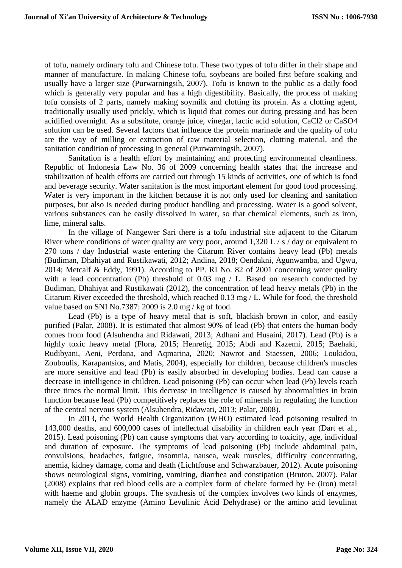of tofu, namely ordinary tofu and Chinese tofu. These two types of tofu differ in their shape and manner of manufacture. In making Chinese tofu, soybeans are boiled first before soaking and usually have a larger size (Purwarningsih, 2007). Tofu is known to the public as a daily food which is generally very popular and has a high digestibility. Basically, the process of making tofu consists of 2 parts, namely making soymilk and clotting its protein. As a clotting agent, traditionally usually used prickly, which is liquid that comes out during pressing and has been acidified overnight. As a substitute, orange juice, vinegar, lactic acid solution, CaCl2 or CaSO4 solution can be used. Several factors that influence the protein marinade and the quality of tofu are the way of milling or extraction of raw material selection, clotting material, and the sanitation condition of processing in general (Purwarningsih, 2007).

Sanitation is a health effort by maintaining and protecting environmental cleanliness. Republic of Indonesia Law No. 36 of 2009 concerning health states that the increase and stabilization of health efforts are carried out through 15 kinds of activities, one of which is food and beverage security. Water sanitation is the most important element for good food processing. Water is very important in the kitchen because it is not only used for cleaning and sanitation purposes, but also is needed during product handling and processing. Water is a good solvent, various substances can be easily dissolved in water, so that chemical elements, such as iron, lime, mineral salts.

In the village of Nangewer Sari there is a tofu industrial site adjacent to the Citarum River where conditions of water quality are very poor, around 1,320 L / s / day or equivalent to 270 tons / day Industrial waste entering the Citarum River contains heavy lead (Pb) metals (Budiman, Dhahiyat and Rustikawati, 2012; Andina, 2018; Oendakni, Agunwamba, and Ugwu, 2014; Metcalf & Eddy, 1991). According to PP. RI No. 82 of 2001 concerning water quality with a lead concentration (Pb) threshold of  $0.03 \text{ mg}$  / L. Based on research conducted by Budiman, Dhahiyat and Rustikawati (2012), the concentration of lead heavy metals (Pb) in the Citarum River exceeded the threshold, which reached 0.13 mg / L. While for food, the threshold value based on SNI No.7387: 2009 is 2.0 mg / kg of food.

Lead (Pb) is a type of heavy metal that is soft, blackish brown in color, and easily purified (Palar, 2008). It is estimated that almost 90% of lead (Pb) that enters the human body comes from food (Alsuhendra and Ridawati, 2013; Adhani and Husaini, 2017). Lead (Pb) is a highly toxic heavy metal (Flora, 2015; Henretig, 2015; Abdi and Kazemi, 2015; Baehaki, Rudibyani, Aeni, Perdana, and Aqmarina, 2020; Nawrot and Staessen, 2006; Loukidou, Zouboulis, Karapantsios, and Matis, 2004), especially for children, because children's muscles are more sensitive and lead (Pb) is easily absorbed in developing bodies. Lead can cause a decrease in intelligence in children. Lead poisoning (Pb) can occur when lead (Pb) levels reach three times the normal limit. This decrease in intelligence is caused by abnormalities in brain function because lead (Pb) competitively replaces the role of minerals in regulating the function of the central nervous system (Alsuhendra, Ridawati, 2013; Palar, 2008).

In 2013, the World Health Organization (WHO) estimated lead poisoning resulted in 143,000 deaths, and 600,000 cases of intellectual disability in children each year (Dart et al., 2015). Lead poisoning (Pb) can cause symptoms that vary according to toxicity, age, individual and duration of exposure. The symptoms of lead poisoning (Pb) include abdominal pain, convulsions, headaches, fatigue, insomnia, nausea, weak muscles, difficulty concentrating, anemia, kidney damage, coma and death (Lichtfouse and Schwarzbauer, 2012). Acute poisoning shows neurological signs, vomiting, vomiting, diarrhea and constipation (Bruton, 2007). Palar (2008) explains that red blood cells are a complex form of chelate formed by Fe (iron) metal with haeme and globin groups. The synthesis of the complex involves two kinds of enzymes, namely the ALAD enzyme (Amino Levulinic Acid Dehydrase) or the amino acid levulinat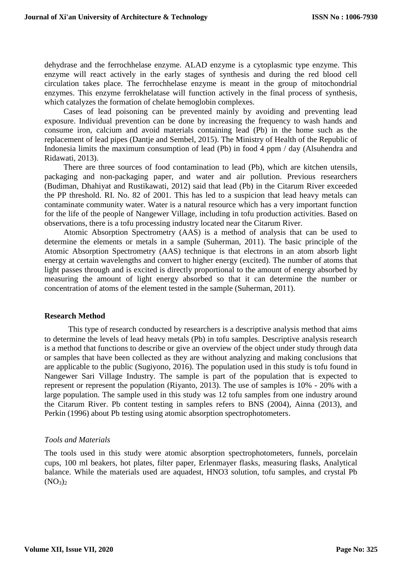dehydrase and the ferrochhelase enzyme. ALAD enzyme is a cytoplasmic type enzyme. This enzyme will react actively in the early stages of synthesis and during the red blood cell circulation takes place. The ferrochhelase enzyme is meant in the group of mitochondrial enzymes. This enzyme ferrokhelatase will function actively in the final process of synthesis, which catalyzes the formation of chelate hemoglobin complexes.

Cases of lead poisoning can be prevented mainly by avoiding and preventing lead exposure. Individual prevention can be done by increasing the frequency to wash hands and consume iron, calcium and avoid materials containing lead (Pb) in the home such as the replacement of lead pipes (Dantje and Sembel, 2015). The Ministry of Health of the Republic of Indonesia limits the maximum consumption of lead (Pb) in food 4 ppm / day (Alsuhendra and Ridawati, 2013).

There are three sources of food contamination to lead (Pb), which are kitchen utensils, packaging and non-packaging paper, and water and air pollution. Previous researchers (Budiman, Dhahiyat and Rustikawati, 2012) said that lead (Pb) in the Citarum River exceeded the PP threshold. RI. No. 82 of 2001. This has led to a suspicion that lead heavy metals can contaminate community water. Water is a natural resource which has a very important function for the life of the people of Nangewer Village, including in tofu production activities. Based on observations, there is a tofu processing industry located near the Citarum River.

Atomic Absorption Spectrometry (AAS) is a method of analysis that can be used to determine the elements or metals in a sample (Suherman, 2011). The basic principle of the Atomic Absorption Spectrometry (AAS) technique is that electrons in an atom absorb light energy at certain wavelengths and convert to higher energy (excited). The number of atoms that light passes through and is excited is directly proportional to the amount of energy absorbed by measuring the amount of light energy absorbed so that it can determine the number or concentration of atoms of the element tested in the sample (Suherman, 2011).

#### **Research Method**

This type of research conducted by researchers is a descriptive analysis method that aims to determine the levels of lead heavy metals (Pb) in tofu samples. Descriptive analysis research is a method that functions to describe or give an overview of the object under study through data or samples that have been collected as they are without analyzing and making conclusions that are applicable to the public (Sugiyono, 2016). The population used in this study is tofu found in Nangewer Sari Village Industry. The sample is part of the population that is expected to represent or represent the population (Riyanto, 2013). The use of samples is 10% - 20% with a large population. The sample used in this study was 12 tofu samples from one industry around the Citarum River. Pb content testing in samples refers to BNS (2004), Ainna (2013), and Perkin (1996) about Pb testing using atomic absorption spectrophotometers.

## *Tools and Materials*

The tools used in this study were atomic absorption spectrophotometers, funnels, porcelain cups, 100 ml beakers, hot plates, filter paper, Erlenmayer flasks, measuring flasks, Analytical balance. While the materials used are aquadest, HNO3 solution, tofu samples, and crystal Pb  $(NO<sub>3</sub>)<sub>2</sub>$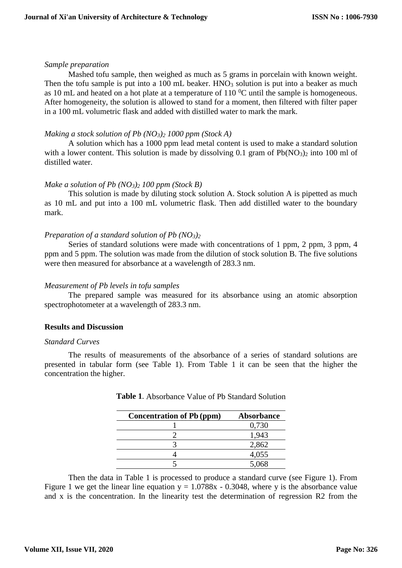#### *Sample preparation*

Mashed tofu sample, then weighed as much as 5 grams in porcelain with known weight. Then the tofu sample is put into a  $100$  mL beaker. HNO<sub>3</sub> solution is put into a beaker as much as 10 mL and heated on a hot plate at a temperature of  $110<sup>0</sup>C$  until the sample is homogeneous. After homogeneity, the solution is allowed to stand for a moment, then filtered with filter paper in a 100 mL volumetric flask and added with distilled water to mark the mark.

## *Making a stock solution of Pb (NO3)<sup>2</sup> 1000 ppm (Stock A)*

A solution which has a 1000 ppm lead metal content is used to make a standard solution with a lower content. This solution is made by dissolving 0.1 gram of  $Pb(NO<sub>3</sub>)<sub>2</sub>$  into 100 ml of distilled water.

# *Make a solution of Pb (NO3)<sup>2</sup> 100 ppm (Stock B)*

This solution is made by diluting stock solution A. Stock solution A is pipetted as much as 10 mL and put into a 100 mL volumetric flask. Then add distilled water to the boundary mark.

# *Preparation of a standard solution of Pb (NO3)<sup>2</sup>*

Series of standard solutions were made with concentrations of 1 ppm, 2 ppm, 3 ppm, 4 ppm and 5 ppm. The solution was made from the dilution of stock solution B. The five solutions were then measured for absorbance at a wavelength of 283.3 nm.

## *Measurement of Pb levels in tofu samples*

The prepared sample was measured for its absorbance using an atomic absorption spectrophotometer at a wavelength of 283.3 nm.

## **Results and Discussion**

## *Standard Curves*

The results of measurements of the absorbance of a series of standard solutions are presented in tabular form (see Table 1). From Table 1 it can be seen that the higher the concentration the higher.

| <b>Concentration of Pb (ppm)</b> | <b>Absorbance</b> |  |
|----------------------------------|-------------------|--|
|                                  | 0,730             |  |
|                                  | 1,943             |  |
|                                  | 2,862             |  |
|                                  | 4,055             |  |
|                                  | 5,068             |  |

**Table 1**. Absorbance Value of Pb Standard Solution

Then the data in Table 1 is processed to produce a standard curve (see Figure 1). From Figure 1 we get the linear line equation  $y = 1.0788x - 0.3048$ , where y is the absorbance value and x is the concentration. In the linearity test the determination of regression R2 from the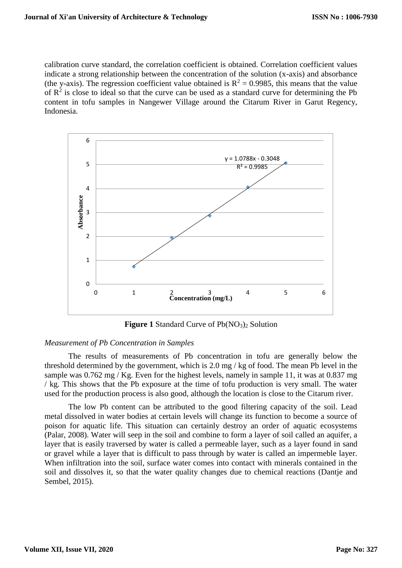calibration curve standard, the correlation coefficient is obtained. Correlation coefficient values indicate a strong relationship between the concentration of the solution (x-axis) and absorbance (the y-axis). The regression coefficient value obtained is  $R^2 = 0.9985$ , this means that the value of  $\mathbb{R}^2$  is close to ideal so that the curve can be used as a standard curve for determining the Pb content in tofu samples in Nangewer Village around the Citarum River in Garut Regency, Indonesia.



**Figure 1** Standard Curve of Pb(NO<sub>3</sub>)<sub>2</sub> Solution

#### *Measurement of Pb Concentration in Samples*

The results of measurements of Pb concentration in tofu are generally below the threshold determined by the government, which is 2.0 mg / kg of food. The mean Pb level in the sample was 0.762 mg / Kg. Even for the highest levels, namely in sample 11, it was at 0.837 mg / kg. This shows that the Pb exposure at the time of tofu production is very small. The water used for the production process is also good, although the location is close to the Citarum river.

The low Pb content can be attributed to the good filtering capacity of the soil. Lead metal dissolved in water bodies at certain levels will change its function to become a source of poison for aquatic life. This situation can certainly destroy an order of aquatic ecosystems (Palar, 2008). Water will seep in the soil and combine to form a layer of soil called an aquifer, a layer that is easily traversed by water is called a permeable layer, such as a layer found in sand or gravel while a layer that is difficult to pass through by water is called an impermeble layer. When infiltration into the soil, surface water comes into contact with minerals contained in the soil and dissolves it, so that the water quality changes due to chemical reactions (Dantje and Sembel, 2015).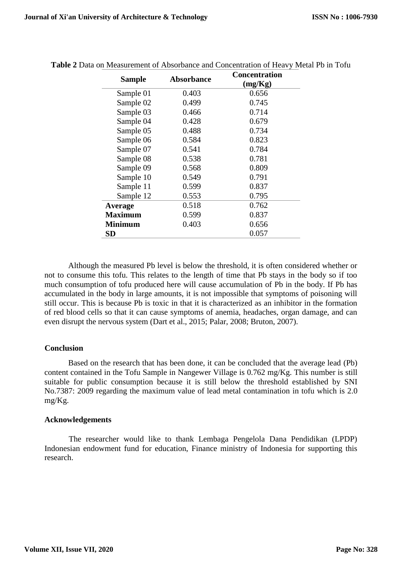| <b>Sample</b>  | <b>Absorbance</b> | Concentration<br>(mg/Kg) |
|----------------|-------------------|--------------------------|
| Sample 01      | 0.403             | 0.656                    |
| Sample 02      | 0.499             | 0.745                    |
| Sample 03      | 0.466             | 0.714                    |
| Sample 04      | 0.428             | 0.679                    |
| Sample 05      | 0.488             | 0.734                    |
| Sample 06      | 0.584             | 0.823                    |
| Sample 07      | 0.541             | 0.784                    |
| Sample 08      | 0.538             | 0.781                    |
| Sample 09      | 0.568             | 0.809                    |
| Sample 10      | 0.549             | 0.791                    |
| Sample 11      | 0.599             | 0.837                    |
| Sample 12      | 0.553             | 0.795                    |
| Average        | 0.518             | 0.762                    |
| <b>Maximum</b> | 0.599             | 0.837                    |
| <b>Minimum</b> | 0.403             | 0.656                    |
| <b>SD</b>      |                   | 0.057                    |

**Table 2** Data on Measurement of Absorbance and Concentration of Heavy Metal Pb in Tofu

Although the measured Pb level is below the threshold, it is often considered whether or not to consume this tofu. This relates to the length of time that Pb stays in the body so if too much consumption of tofu produced here will cause accumulation of Pb in the body. If Pb has accumulated in the body in large amounts, it is not impossible that symptoms of poisoning will still occur. This is because Pb is toxic in that it is characterized as an inhibitor in the formation of red blood cells so that it can cause symptoms of anemia, headaches, organ damage, and can even disrupt the nervous system (Dart et al., 2015; Palar, 2008; Bruton, 2007).

## **Conclusion**

Based on the research that has been done, it can be concluded that the average lead (Pb) content contained in the Tofu Sample in Nangewer Village is 0.762 mg/Kg. This number is still suitable for public consumption because it is still below the threshold established by SNI No.7387: 2009 regarding the maximum value of lead metal contamination in tofu which is 2.0 mg/Kg.

## **Acknowledgements**

The researcher would like to thank Lembaga Pengelola Dana Pendidikan (LPDP) Indonesian endowment fund for education, Finance ministry of Indonesia for supporting this research.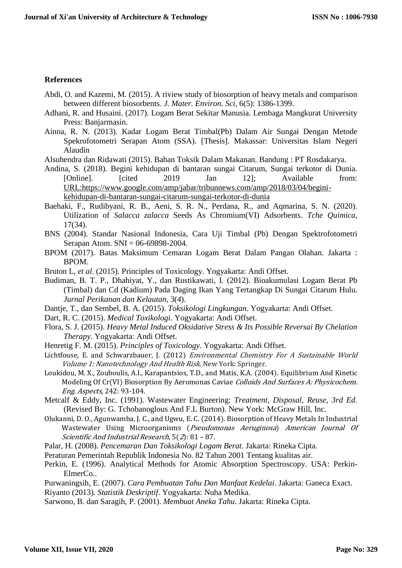#### **References**

- Abdi, O. and Kazemi, M. (2015). A riview study of biosorption of heavy metals and comparison between different biosorbents. *J. Mater. Environ. Sci*, 6(5): 1386-1399.
- Adhani, R. and Husaini. (2017). Logam Berat Sekitar Manusia. Lembaga Mangkurat University Press: Banjarmasin.
- Ainna, R. N. (2013). Kadar Logam Berat Timbal(Pb) Dalam Air Sungai Dengan Metode Spekrofotometri Serapan Atom (SSA). [Thesis]. Makassar: Universitas Islam Negeri Alaudin
- Alsuhendra dan Ridawati (2015). Bahan Toksik Dalam Makanan. Bandung : PT Rosdakarya.
- Andina, S. (2018). Begini kehidupan di bantaran sungai Citarum, Sungai terkotor di Dunia. [Online]. [cited 2019 Jan 12]; Available from: [URL:https://www.google.com/amp/jabar/tribunnews.com/amp/2018/03/04/begini](https://www.google.com/amp/jabar/tribunnews.com/amp/2018/03/04/begini-kehidupan-di-bantaran-sungai-citarum-sungai-terkotor-di-dunia)[kehidupan-di-bantaran-sungai-citarum-sungai-terkotor-di-dunia](https://www.google.com/amp/jabar/tribunnews.com/amp/2018/03/04/begini-kehidupan-di-bantaran-sungai-citarum-sungai-terkotor-di-dunia)
- Baehaki, F., Rudibyani, R. B., Aeni, S. R. N., Perdana, R., and Aqmarina, S. N. (2020). Utilization of *Salacca zalacca* Seeds As Chromium(VI) Adsorbents. *Tche Quimica*, 17(34).
- BNS (2004). Standar Nasional Indonesia, Cara Uji Timbal (Pb) Dengan Spektrofotometri Serapan Atom. SNI = 06-69898-2004.
- BPOM (2017). Batas Maksimum Cemaran Logam Berat Dalam Pangan Olahan. Jakarta : BPOM.
- Bruton L, *et al*. (2015). Principles of Toxicology. Yogyakarta: Andi Offset.
- Budiman, B. T. P., Dhahiyat, Y., dan Rustikawati, I. (2012). Bioakumulasi Logam Berat Pb (Timbal) dan Cd (Kadium) Pada Daging Ikan Yang Tertangkap Di Sungai Citarum Hulu. *Jurnal Perikanan dan Kelautan*, 3(*4*).
- Dantje, T., dan Sembel, B. A. (2015). *Toksikologi Lingkungan*. Yogyakarta: Andi Offset.
- Dart, R. C. (2015). *Medical Toxikologi*. Yogyakarta: Andi Offset.
- Flora, S. J. (2015). *Heavy Metal Induced Oksidative Stress & Its Possible Reversai By Chelation Therapy*. Yogyakarta: Andi Offset.
- Henretig F. M. (2015). *Principles of Toxicology*. Yogyakarta: Andi Offset.
- Lichtfouse, E. and Schwarzbauer, J. (2012) Environmental Chemistry For A Sustainable World Volume 1: Nanotechnology And Health Risk. New York: Springer.
- Loukidou, M. X., Zouboulis, A.I., Karapantsios, T.D., and Matis, K.A. (2004). Equilibrium And Kinetic Modeling Of Cr(VI) Biosorption By Aeromonas Caviae Colloids And Surfaces A: Physicochem. Eng. Aspects, 242: 93-104.
- Metcalf & Eddy, Inc. (1991). Wastewater Engineering: *Treatment, Disposal, Reuse, 3rd Ed*. (Revised By: G. Tchobanoglous And F.L Burton). New York: McGraw Hill, Inc.
- Olukanni, D. O., Agunwamba, J. C., and Ugwu, E. C. (2014). Biosorption of Heavy Metals In Industrial Wastewater Using Microorganisms (Pseudomonas Aeruginosa) American Journal Of Scientific And Industrial Research, 5(2): 81 – 87.
- Palar, H. (2008). *Pencemaran Dan Toksikologi Logam Berat*. Jakarta: Rineka Cipta.
- Peraturan Pemerintah Republik Indonesia No. 82 Tahun 2001 Tentang kualitas air.
- Perkin, E. (1996). Analytical Methods for Atomic Absorption Spectroscopy. USA: Perkin-ElmerCo..
- Purwaningsih, E. (2007). *Cara Pembuatan Tahu Dan Manfaat Kedelai*. Jakarta: Ganeca Exact. Riyanto (2013). *Statistik Deskriptif*. Yogyakarta: Nuha Medika.
- Sarwono, B. dan Saragih, P. (2001). *Membuat Aneka Tahu*. Jakarta: Rineka Cipta.